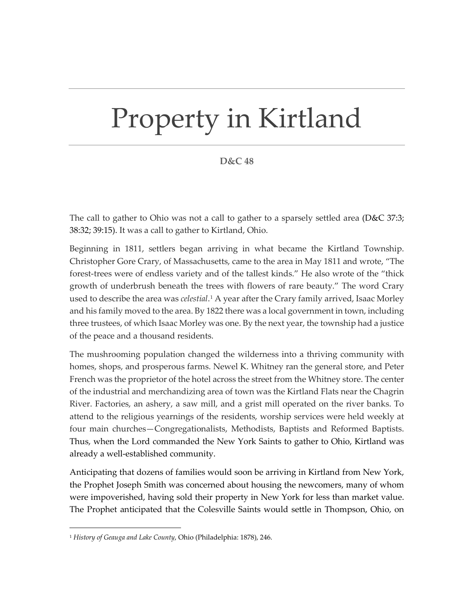## Property in Kirtland

## **D&C 48**

The call to gather to Ohio was not a call to gather to a sparsely settled area ( $D&C$  37:3; 38:32; 39:15). It was a call to gather to Kirtland, Ohio.

Beginning in 1811, settlers began arriving in what became the Kirtland Township. Christopher Gore Crary, of Massachusetts, came to the area in May 1811 and wrote, "The forest-trees were of endless variety and of the tallest kinds." He also wrote of the "thick growth of underbrush beneath the trees with flowers of rare beauty." The word Crary used to describe the area was *celestial*.[1](#page-0-0) A year after the Crary family arrived, Isaac Morley and his family moved to the area. By 1822 there was a local government in town, including three trustees, of which Isaac Morley was one. By the next year, the township had a justice of the peace and a thousand residents.

The mushrooming population changed the wilderness into a thriving community with homes, shops, and prosperous farms. Newel K. Whitney ran the general store, and Peter French was the proprietor of the hotel across the street from the Whitney store. The center of the industrial and merchandizing area of town was the Kirtland Flats near the Chagrin River. Factories, an ashery, a saw mill, and a grist mill operated on the river banks. To attend to the religious yearnings of the residents, worship services were held weekly at four main churches—Congregationalists, Methodists, Baptists and Reformed Baptists. Thus, when the Lord commanded the New York Saints to gather to Ohio, Kirtland was already a well-established community.

Anticipating that dozens of families would soon be arriving in Kirtland from New York, the Prophet Joseph Smith was concerned about housing the newcomers, many of whom were impoverished, having sold their property in New York for less than market value. The Prophet anticipated that the Colesville Saints would settle in Thompson, Ohio, on

<span id="page-0-0"></span><sup>1</sup> *History of Geauga and Lake County*, Ohio (Philadelphia: 1878), 246.